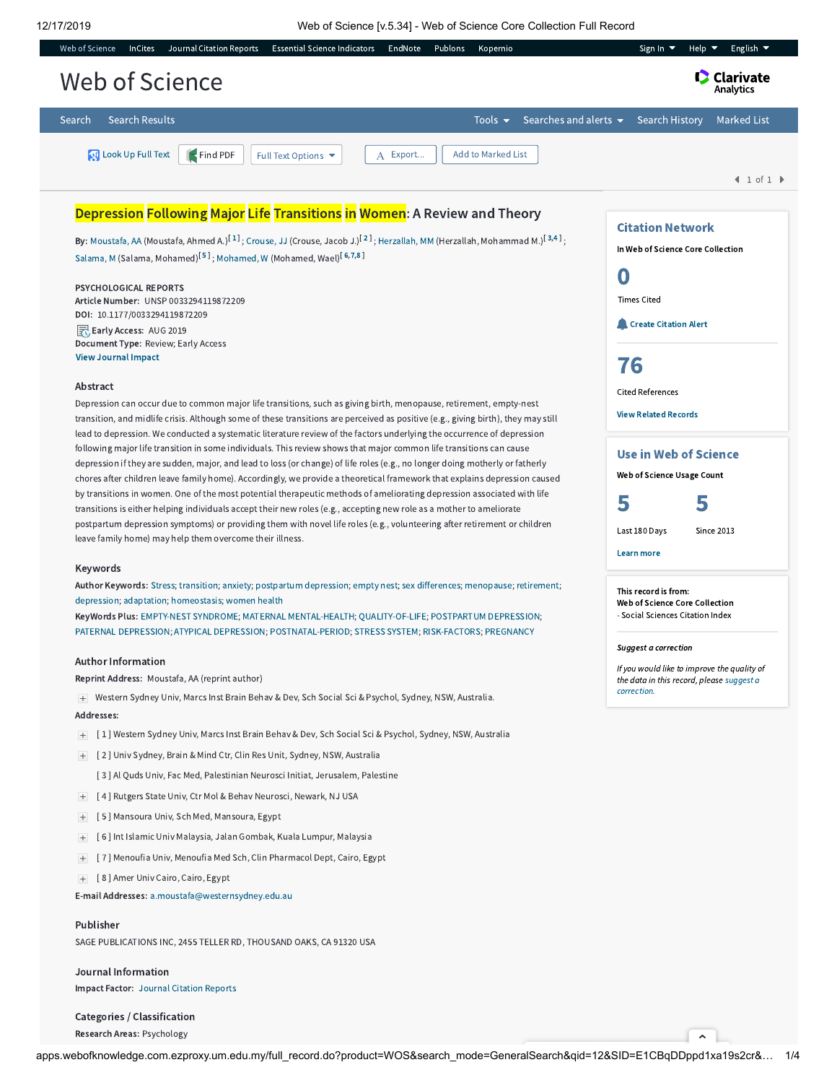[ 8 ] Amer Univ Cairo, Cairo, Egypt

Impact Factor: Journal [Citation](javascript:;) Reports

Publisher

Journal Information

Categories / Classification Research Areas: Psychology

E-mail Addresses: [a.moustafa@westernsydney.edu.au](mailto:a.moustafa@westernsydney.edu.au)

SAGE PUBLICATIONS INC, 2455 TELLER RD, THOUSAND OAKS, CA 91320 USA



apps.webofknowledge.com.ezproxy.um.edu.my/full\_record.do?product=WOS&search\_mode=GeneralSearch&qid=12&SID=E1CBqDDppd1xa19s2cr&... 1/4

 $\sim$